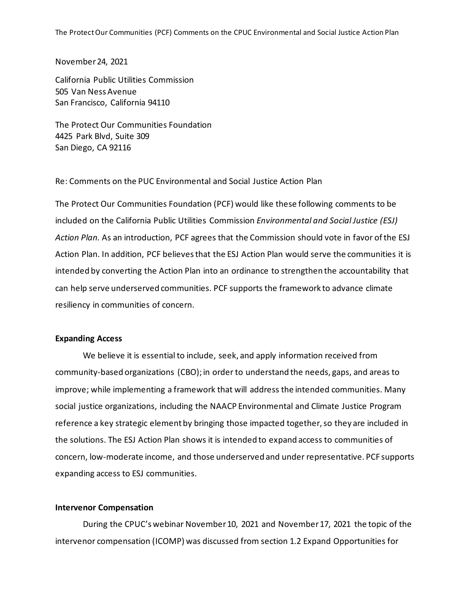The Protect Our Communities (PCF) Comments on the CPUC Environmental and Social Justice Action Plan

November 24, 2021

California Public Utilities Commission 505 Van Ness Avenue San Francisco, California 94110

The Protect Our Communities Foundation 4425 Park Blvd, Suite 309 San Diego, CA 92116

Re: Comments on the PUC Environmental and Social Justice Action Plan

The Protect Our Communities Foundation (PCF) would like these following comments to be included on the California Public Utilities Commission *Environmental and Social Justice (ESJ) Action Plan.* As an introduction, PCF agrees that the Commission should vote in favor of the ESJ Action Plan. In addition, PCF believes that the ESJ Action Plan would serve the communities it is intended by converting the Action Plan into an ordinance to strengthen the accountability that can help serve underserved communities. PCF supports the framework to advance climate resiliency in communities of concern.

## **Expanding Access**

We believe it is essential to include, seek, and apply information received from community-based organizations (CBO); in order to understand the needs, gaps, and areas to improve; while implementing a framework that will address the intended communities. Many social justice organizations, including the NAACP Environmental and Climate Justice Program reference a key strategic element by bringing those impacted together, so they are included in the solutions. The ESJ Action Plan shows it is intended to expand access to communities of concern, low-moderate income, and those underserved and under representative. PCF supports expanding access to ESJ communities.

## **Intervenor Compensation**

During the CPUC's webinar November 10, 2021 and November 17, 2021 the topic of the intervenor compensation (ICOMP) was discussed from section 1.2 Expand Opportunities for